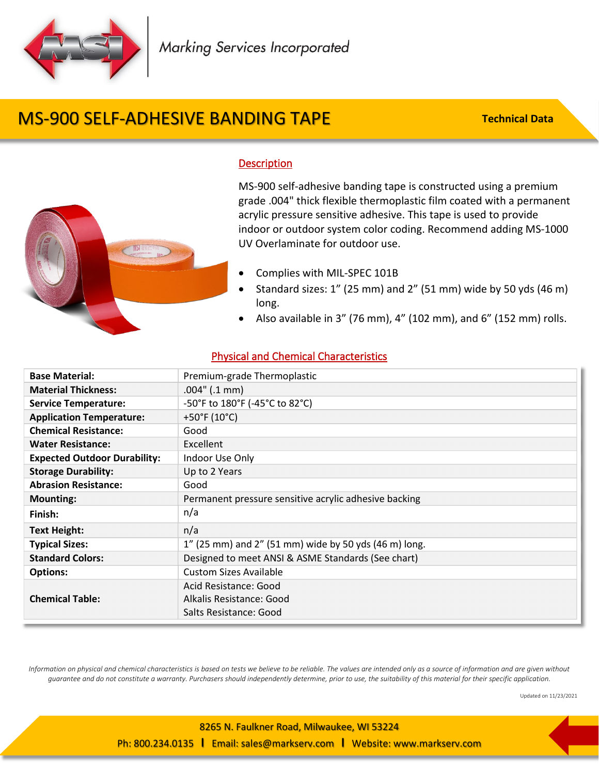

# MS-900 SELF-ADHESIVE BANDING TAPE

**Technical Data**



#### **Description**

MS-900 self-adhesive banding tape is constructed using a premium grade .004" thick flexible thermoplastic film coated with a permanent acrylic pressure sensitive adhesive. This tape is used to provide indoor or outdoor system color coding. Recommend adding MS-1000 UV Overlaminate for outdoor use.

- Complies with MIL-SPEC 101B
- Standard sizes: 1" (25 mm) and 2" (51 mm) wide by 50 yds (46 m) long.
- Also available in 3" (76 mm), 4" (102 mm), and 6" (152 mm) rolls.

#### Physical and Chemical Characteristics

| <b>Base Material:</b>               | Premium-grade Thermoplastic                           |
|-------------------------------------|-------------------------------------------------------|
| <b>Material Thickness:</b>          | $.004$ " ( $.1$ mm)                                   |
| <b>Service Temperature:</b>         | -50°F to 180°F (-45°C to 82°C)                        |
| <b>Application Temperature:</b>     | +50°F (10°C)                                          |
| <b>Chemical Resistance:</b>         | Good                                                  |
| <b>Water Resistance:</b>            | Excellent                                             |
| <b>Expected Outdoor Durability:</b> | Indoor Use Only                                       |
| <b>Storage Durability:</b>          | Up to 2 Years                                         |
| <b>Abrasion Resistance:</b>         | Good                                                  |
| <b>Mounting:</b>                    | Permanent pressure sensitive acrylic adhesive backing |
| Finish:                             | n/a                                                   |
| <b>Text Height:</b>                 | n/a                                                   |
| <b>Typical Sizes:</b>               | 1" (25 mm) and 2" (51 mm) wide by 50 yds (46 m) long. |
| <b>Standard Colors:</b>             | Designed to meet ANSI & ASME Standards (See chart)    |
| <b>Options:</b>                     | <b>Custom Sizes Available</b>                         |
|                                     | Acid Resistance: Good                                 |
| <b>Chemical Table:</b>              | Alkalis Resistance: Good                              |
|                                     | Salts Resistance: Good                                |

*Information on physical and chemical characteristics is based on tests we believe to be reliable. The values are intended only as a source of information and are given without guarantee and do not constitute a warranty. Purchasers should independently determine, prior to use, the suitability of this material for their specific application.*

Updated on 11/23/2021